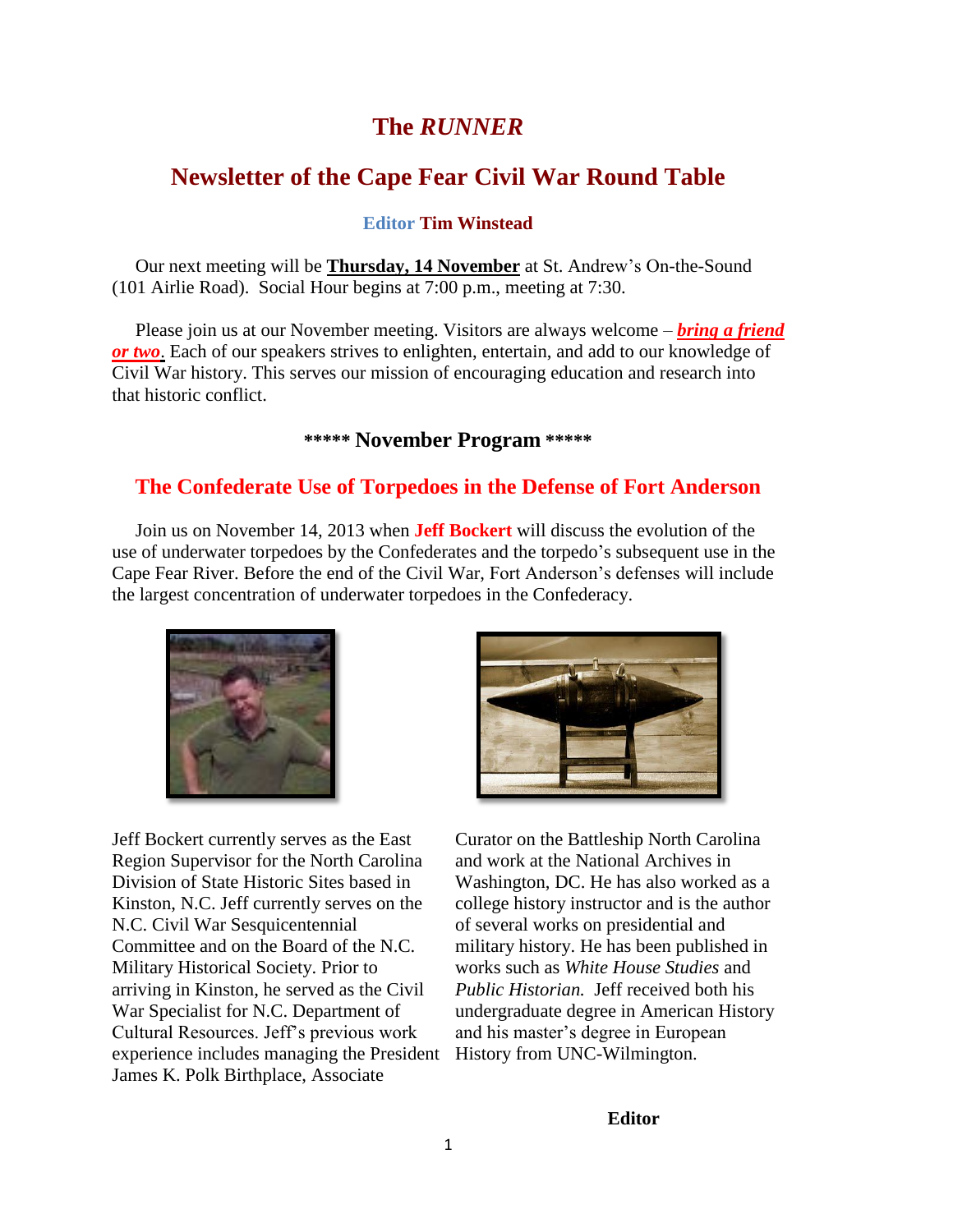# **The** *RUNNER*

# **Newsletter of the Cape Fear Civil War Round Table**

#### **Editor Tim Winstead**

 Our next meeting will be **Thursday, 14 November** at St. Andrew's On-the-Sound (101 Airlie Road). Social Hour begins at 7:00 p.m., meeting at 7:30.

Please join us at our November meeting. Visitors are always welcome – *bring a friend or two*. Each of our speakers strives to enlighten, entertain, and add to our knowledge of Civil War history. This serves our mission of encouraging education and research into that historic conflict.

### **\*\*\*\*\* November Program \*\*\*\*\***

### **The Confederate Use of Torpedoes in the Defense of Fort Anderson**

 Join us on November 14, 2013 when **Jeff Bockert** will discuss the evolution of the use of underwater torpedoes by the Confederates and the torpedo's subsequent use in the Cape Fear River. Before the end of the Civil War, Fort Anderson's defenses will include the largest concentration of underwater torpedoes in the Confederacy.



Jeff Bockert currently serves as the East Region Supervisor for the North Carolina Division of State Historic Sites based in Kinston, N.C. Jeff currently serves on the N.C. Civil War Sesquicentennial Committee and on the Board of the N.C. Military Historical Society. Prior to arriving in Kinston, he served as the Civil War Specialist for N.C. Department of Cultural Resources. Jeff's previous work experience includes managing the President James K. Polk Birthplace, Associate



Curator on the Battleship North Carolina and work at the National Archives in Washington, DC. He has also worked as a college history instructor and is the author of several works on presidential and military history. He has been published in works such as *White House Studies* and *Public Historian.* Jeff received both his undergraduate degree in American History and his master's degree in European History from UNC-Wilmington.

#### **Editor**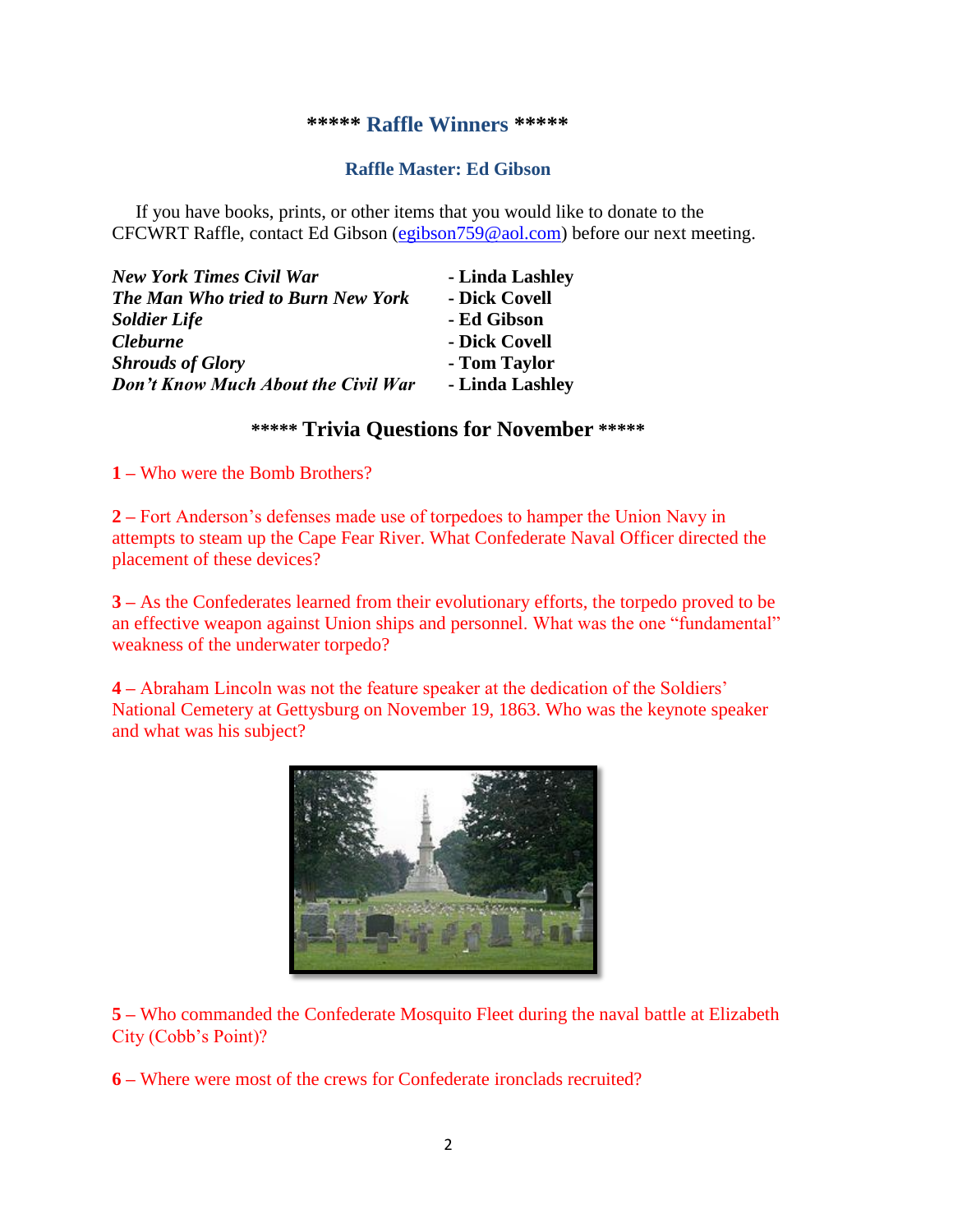#### **\*\*\*\*\* Raffle Winners \*\*\*\*\***

### **Raffle Master: Ed Gibson**

If you have books, prints, or other items that you would like to donate to the CFCWRT Raffle, contact Ed Gibson [\(egibson759@aol.com\)](mailto:egibson759@aol.com) before our next meeting.

| New York Times Civil War                   | - Linda Lashley |
|--------------------------------------------|-----------------|
| <b>The Man Who tried to Burn New York</b>  | - Dick Covell   |
| <b>Soldier Life</b>                        | - Ed Gibson     |
| <i><b>Cleburne</b></i>                     | - Dick Covell   |
| <b>Shrouds of Glory</b>                    | - Tom Taylor    |
| <b>Don't Know Much About the Civil War</b> | - Linda Lashley |

### **\*\*\*\*\* Trivia Questions for November \*\*\*\*\***

**1 –** Who were the Bomb Brothers?

**2 –** Fort Anderson's defenses made use of torpedoes to hamper the Union Navy in attempts to steam up the Cape Fear River. What Confederate Naval Officer directed the placement of these devices?

**3 –** As the Confederates learned from their evolutionary efforts, the torpedo proved to be an effective weapon against Union ships and personnel. What was the one "fundamental" weakness of the underwater torpedo?

**4 –** Abraham Lincoln was not the feature speaker at the dedication of the Soldiers' National Cemetery at Gettysburg on November 19, 1863. Who was the keynote speaker and what was his subject?



**5 –** Who commanded the Confederate Mosquito Fleet during the naval battle at Elizabeth City (Cobb's Point)?

**6 –** Where were most of the crews for Confederate ironclads recruited?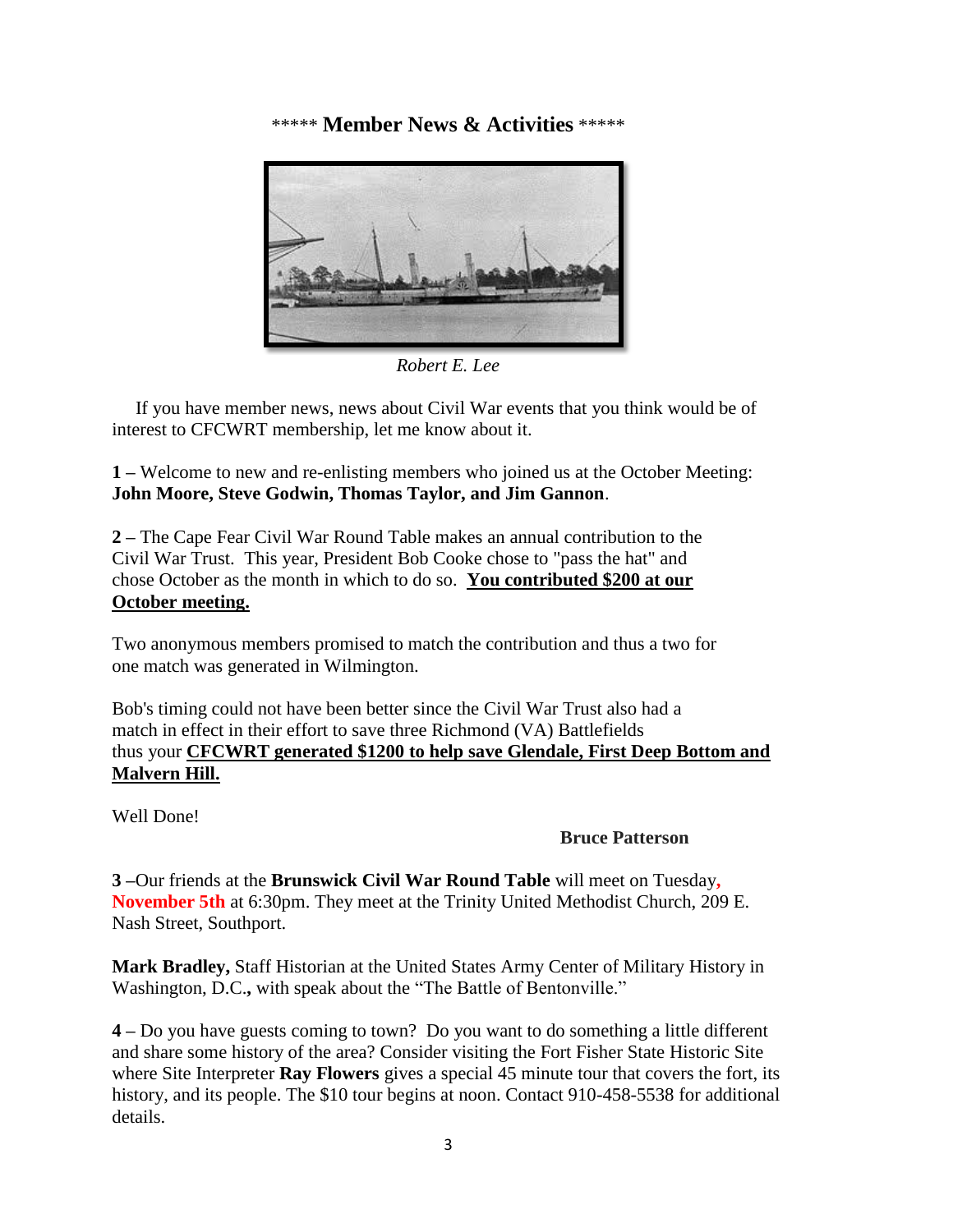\*\*\*\*\* **Member News & Activities** \*\*\*\*\*



*Robert E. Lee*

 If you have member news, news about Civil War events that you think would be of interest to CFCWRT membership, let me know about it.

**1 –** Welcome to new and re-enlisting members who joined us at the October Meeting: **John Moore, Steve Godwin, Thomas Taylor, and Jim Gannon**.

**2 –** The Cape Fear Civil War Round Table makes an annual contribution to the Civil War Trust. This year, President Bob Cooke chose to "pass the hat" and chose October as the month in which to do so. **You contributed \$200 at our October meeting.**

Two anonymous members promised to match the contribution and thus a two for one match was generated in Wilmington.

Bob's timing could not have been better since the Civil War Trust also had a match in effect in their effort to save three Richmond (VA) Battlefields thus your **CFCWRT generated \$1200 to help save Glendale, First Deep Bottom and Malvern Hill.**

Well Done!

### **Bruce Patterson**

**3 –**Our friends at the **Brunswick Civil War Round Table** will meet on Tuesday**, November 5th** at 6:30pm. They meet at the Trinity United Methodist Church, 209 E. Nash Street, Southport.

**Mark Bradley,** Staff Historian at the United States Army Center of Military History in Washington, D.C.**,** with speak about the "The Battle of Bentonville."

**4 –** Do you have guests coming to town? Do you want to do something a little different and share some history of the area? Consider visiting the Fort Fisher State Historic Site where Site Interpreter **Ray Flowers** gives a special 45 minute tour that covers the fort, its history, and its people. The \$10 tour begins at noon. Contact 910-458-5538 for additional details.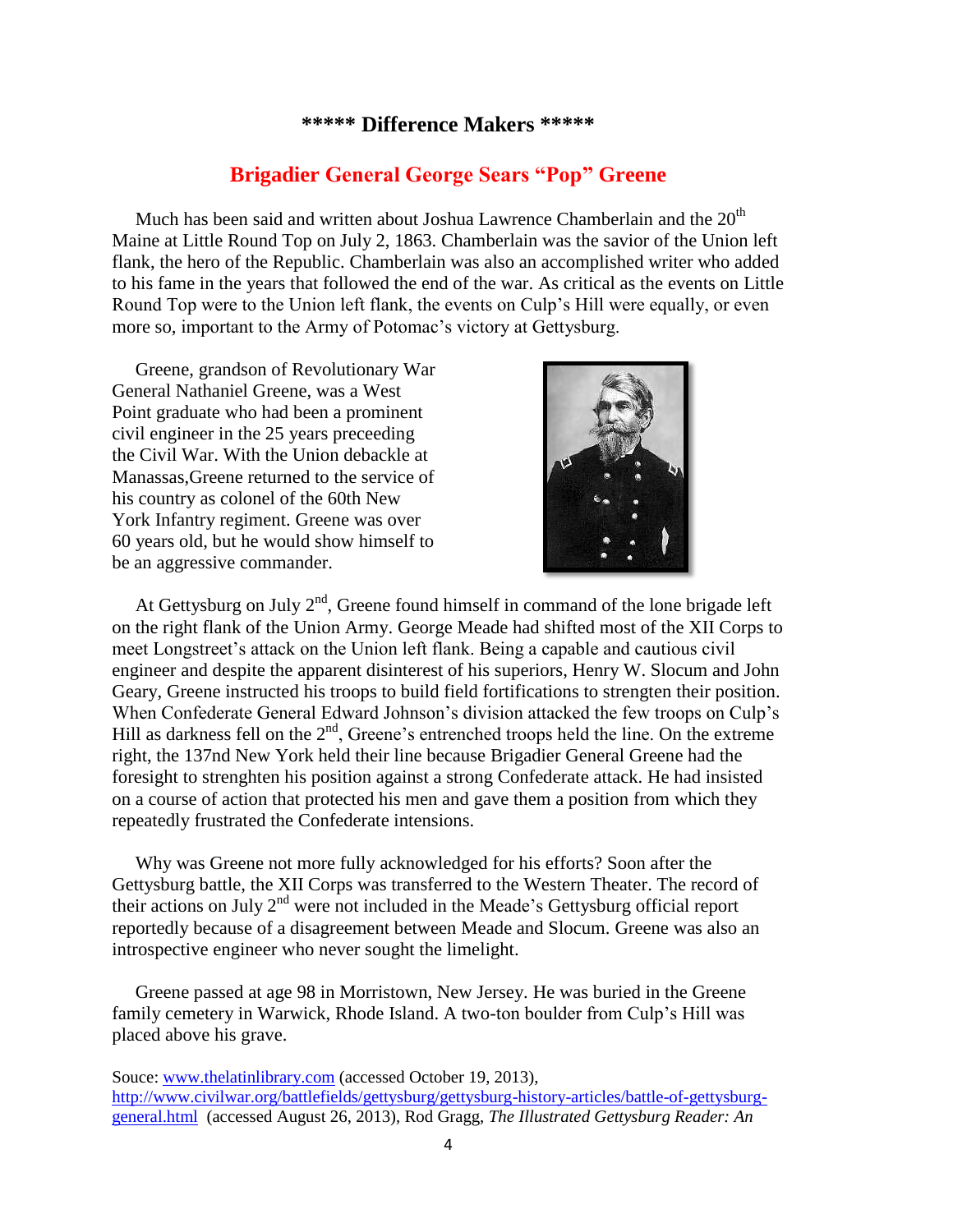#### **\*\*\*\*\* Difference Makers \*\*\*\*\***

## **Brigadier General George Sears "Pop" Greene**

Much has been said and written about Joshua Lawrence Chamberlain and the  $20<sup>th</sup>$ Maine at Little Round Top on July 2, 1863. Chamberlain was the savior of the Union left flank, the hero of the Republic. Chamberlain was also an accomplished writer who added to his fame in the years that followed the end of the war. As critical as the events on Little Round Top were to the Union left flank, the events on Culp's Hill were equally, or even more so, important to the Army of Potomac's victory at Gettysburg.

 Greene, grandson of Revolutionary War General Nathaniel Greene, was a West Point graduate who had been a prominent civil engineer in the 25 years preceeding the Civil War. With the Union debackle at Manassas,Greene returned to the service of his country as colonel of the 60th New York Infantry regiment. Greene was over 60 years old, but he would show himself to be an aggressive commander.



At Gettysburg on July  $2<sup>nd</sup>$ , Greene found himself in command of the lone brigade left on the right flank of the Union Army. George Meade had shifted most of the XII Corps to meet Longstreet's attack on the Union left flank. Being a capable and cautious civil engineer and despite the apparent disinterest of his superiors, Henry W. Slocum and John Geary, Greene instructed his troops to build field fortifications to strengten their position. When Confederate General Edward Johnson's division attacked the few troops on Culp's Hill as darkness fell on the  $2<sup>nd</sup>$ , Greene's entrenched troops held the line. On the extreme right, the 137nd New York held their line because Brigadier General Greene had the foresight to strenghten his position against a strong Confederate attack. He had insisted on a course of action that protected his men and gave them a position from which they repeatedly frustrated the Confederate intensions.

 Why was Greene not more fully acknowledged for his efforts? Soon after the Gettysburg battle, the XII Corps was transferred to the Western Theater. The record of their actions on July  $2<sup>nd</sup>$  were not included in the Meade's Gettysburg official report reportedly because of a disagreement between Meade and Slocum. Greene was also an introspective engineer who never sought the limelight.

 Greene passed at age 98 in Morristown, New Jersey. He was buried in the Greene family cemetery in Warwick, Rhode Island. A two-ton boulder from Culp's Hill was placed above his grave.

Souce[: www.thelatinlibrary.com](http://www.thelatinlibrary.com/) (accessed October 19, 2013), [http://www.civilwar.org/battlefields/gettysburg/gettysburg-history-articles/battle-of-gettysburg](http://www.civilwar.org/battlefields/gettysburg/gettysburg-history-articles/battle-of-gettysburg-general.html)[general.html](http://www.civilwar.org/battlefields/gettysburg/gettysburg-history-articles/battle-of-gettysburg-general.html) (accessed August 26, 2013), Rod Gragg, *The Illustrated Gettysburg Reader: An*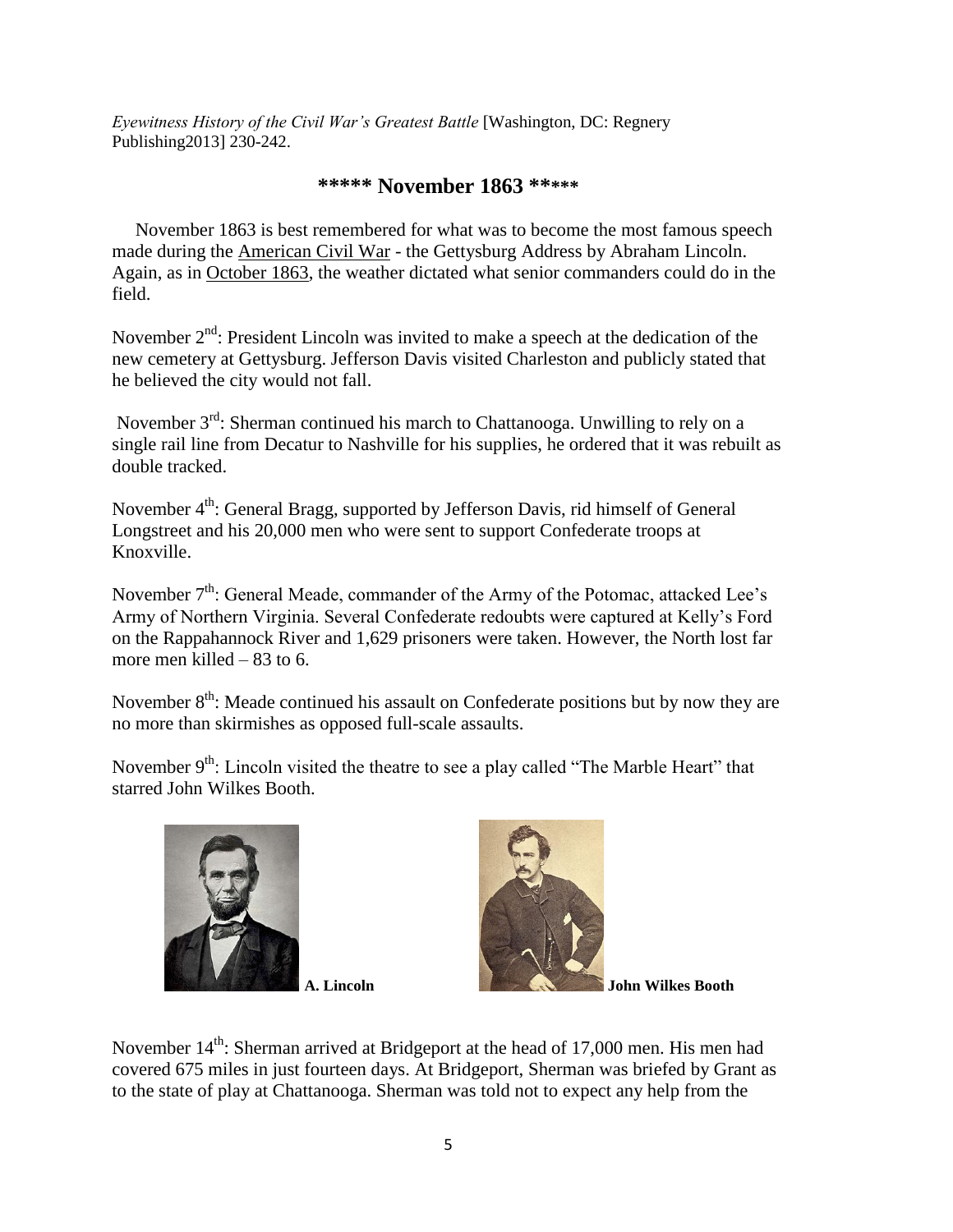*Eyewitness History of the Civil War's Greatest Battle* [Washington, DC: Regnery Publishing2013] 230-242.

### **\*\*\*\*\* November 1863 \*\*\*\*\***

 November 1863 is best remembered for what was to become the most famous speech made during the [American Civil War](http://www.historylearningsite.co.uk/american-civil-war.htm) - the Gettysburg Address by Abraham Lincoln. Again, as in [October 1863,](http://www.historylearningsite.co.uk/october-1863-civil-war.htm) the weather dictated what senior commanders could do in the field.

November 2<sup>nd</sup>: President Lincoln was invited to make a speech at the dedication of the new cemetery at Gettysburg. Jefferson Davis visited Charleston and publicly stated that he believed the city would not fall.

November  $3<sup>rd</sup>$ : Sherman continued his march to Chattanooga. Unwilling to rely on a single rail line from Decatur to Nashville for his supplies, he ordered that it was rebuilt as double tracked.

November 4<sup>th</sup>: General Bragg, supported by Jefferson Davis, rid himself of General Longstreet and his 20,000 men who were sent to support Confederate troops at Knoxville.

November  $7<sup>th</sup>$ : General Meade, commander of the Army of the Potomac, attacked Lee's Army of Northern Virginia. Several Confederate redoubts were captured at Kelly's Ford on the Rappahannock River and 1,629 prisoners were taken. However, the North lost far more men killed – 83 to 6.

November 8<sup>th</sup>: Meade continued his assault on Confederate positions but by now they are no more than skirmishes as opposed full-scale assaults.

November 9<sup>th</sup>: Lincoln visited the theatre to see a play called "The Marble Heart" that starred John Wilkes Booth.





**A. Lincoln John Wilkes Booth**

November  $14<sup>th</sup>$ : Sherman arrived at Bridgeport at the head of 17,000 men. His men had covered 675 miles in just fourteen days. At Bridgeport, Sherman was briefed by Grant as to the state of play at Chattanooga. Sherman was told not to expect any help from the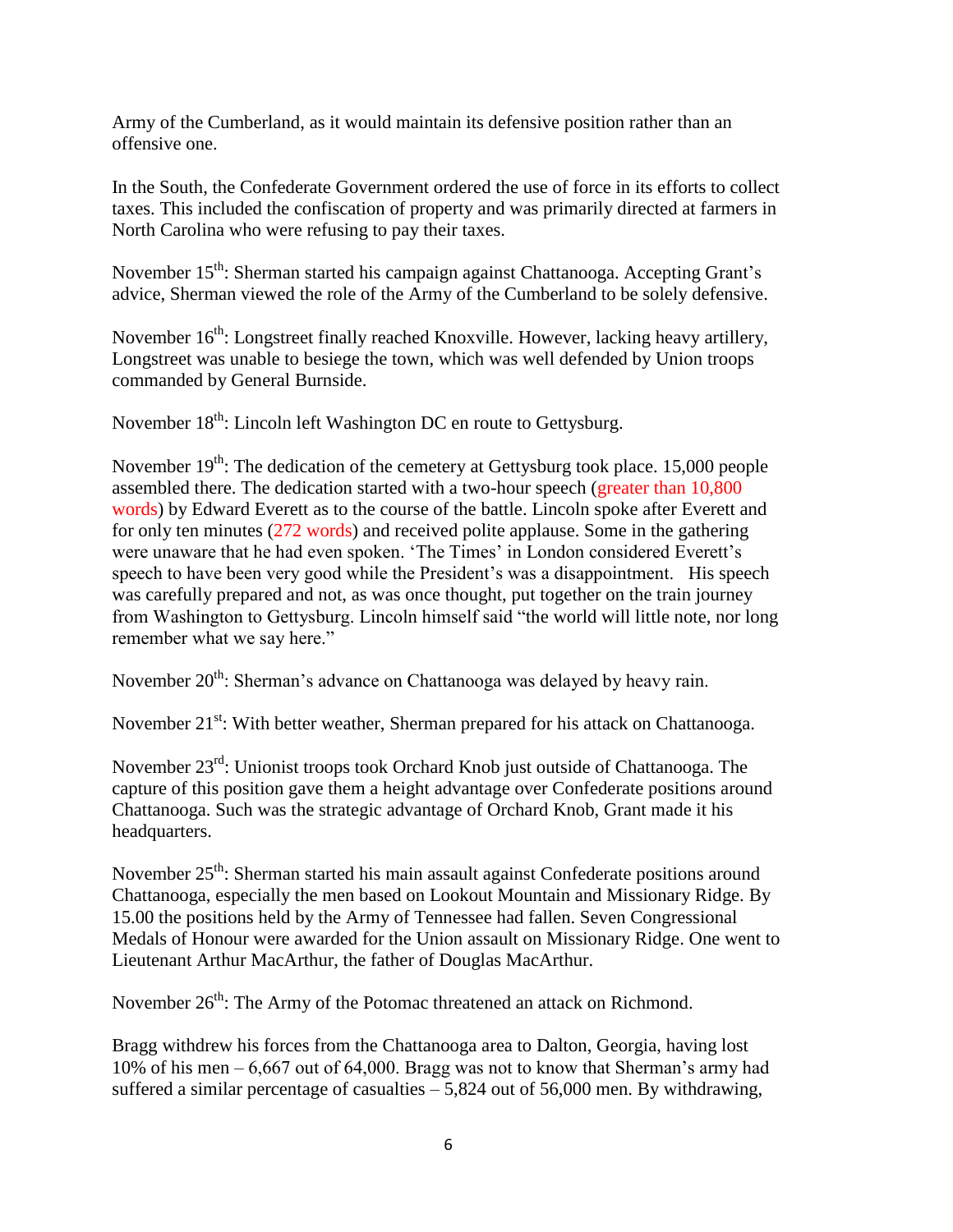Army of the Cumberland, as it would maintain its defensive position rather than an offensive one.

In the South, the Confederate Government ordered the use of force in its efforts to collect taxes. This included the confiscation of property and was primarily directed at farmers in North Carolina who were refusing to pay their taxes.

November 15<sup>th</sup>: Sherman started his campaign against Chattanooga. Accepting Grant's advice, Sherman viewed the role of the Army of the Cumberland to be solely defensive.

November 16<sup>th</sup>: Longstreet finally reached Knoxville. However, lacking heavy artillery, Longstreet was unable to besiege the town, which was well defended by Union troops commanded by General Burnside.

November 18<sup>th</sup>: Lincoln left Washington DC en route to Gettysburg.

November  $19<sup>th</sup>$ : The dedication of the cemetery at Gettysburg took place. 15,000 people assembled there. The dedication started with a two-hour speech (greater than 10,800 words) by Edward Everett as to the course of the battle. Lincoln spoke after Everett and for only ten minutes (272 words) and received polite applause. Some in the gathering were unaware that he had even spoken. 'The Times' in London considered Everett's speech to have been very good while the President's was a disappointment. His speech was carefully prepared and not, as was once thought, put together on the train journey from Washington to Gettysburg. Lincoln himself said "the world will little note, nor long remember what we say here."

November 20<sup>th</sup>: Sherman's advance on Chattanooga was delayed by heavy rain.

November 21<sup>st</sup>: With better weather, Sherman prepared for his attack on Chattanooga.

November 23rd: Unionist troops took Orchard Knob just outside of Chattanooga. The capture of this position gave them a height advantage over Confederate positions around Chattanooga. Such was the strategic advantage of Orchard Knob, Grant made it his headquarters.

November 25<sup>th</sup>: Sherman started his main assault against Confederate positions around Chattanooga, especially the men based on Lookout Mountain and Missionary Ridge. By 15.00 the positions held by the Army of Tennessee had fallen. Seven Congressional Medals of Honour were awarded for the Union assault on Missionary Ridge. One went to Lieutenant Arthur MacArthur, the father of Douglas MacArthur.

November  $26<sup>th</sup>$ : The Army of the Potomac threatened an attack on Richmond.

Bragg withdrew his forces from the Chattanooga area to Dalton, Georgia, having lost 10% of his men – 6,667 out of 64,000. Bragg was not to know that Sherman's army had suffered a similar percentage of casualties  $-5,824$  out of 56,000 men. By withdrawing,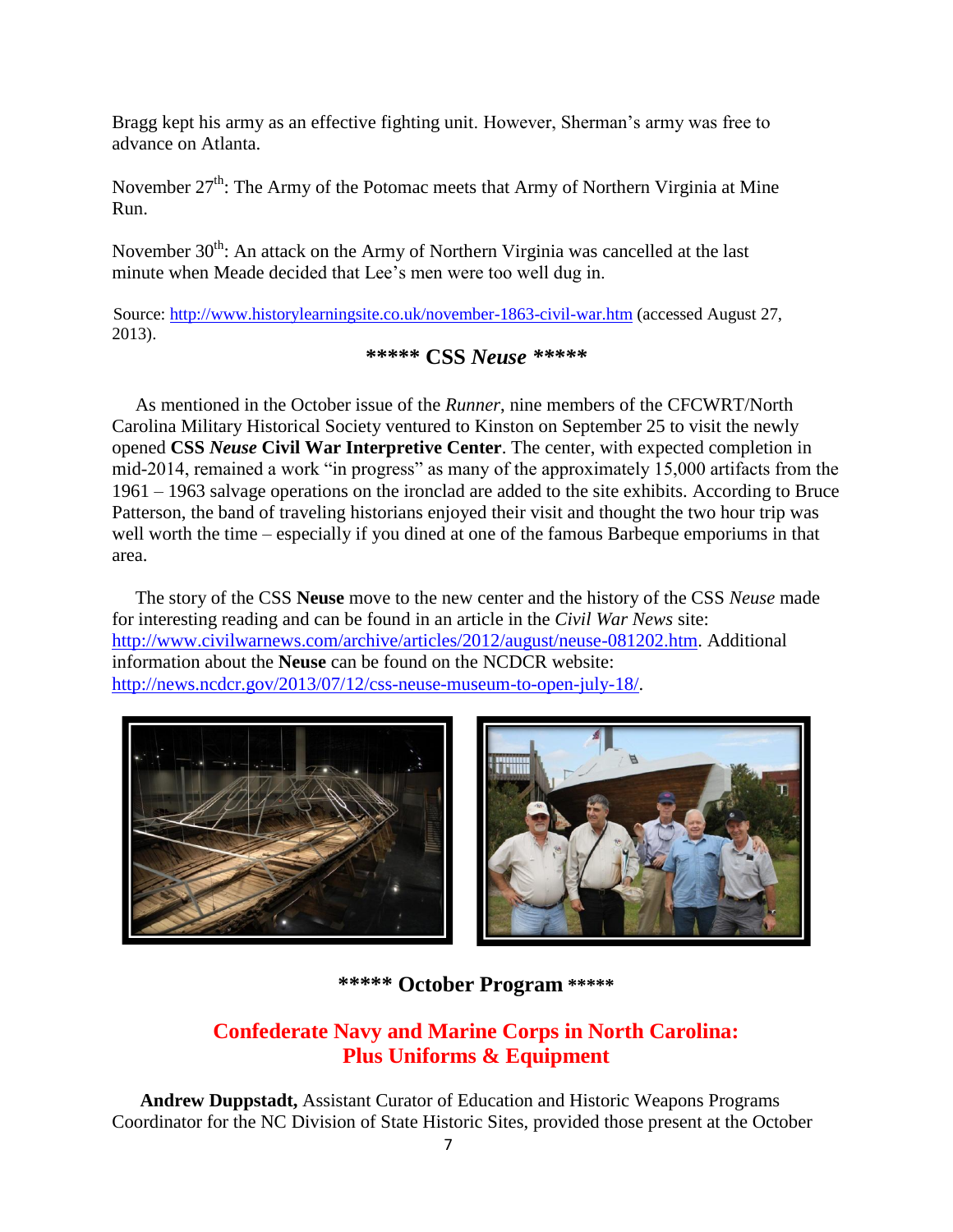Bragg kept his army as an effective fighting unit. However, Sherman's army was free to advance on Atlanta.

November 27<sup>th</sup>: The Army of the Potomac meets that Army of Northern Virginia at Mine Run.

November  $30<sup>th</sup>$ : An attack on the Army of Northern Virginia was cancelled at the last minute when Meade decided that Lee's men were too well dug in.

Source:<http://www.historylearningsite.co.uk/november-1863-civil-war.htm> (accessed August 27, 2013).

### **\*\*\*\*\* CSS** *Neuse \*\*\*\*\**

 As mentioned in the October issue of the *Runner*, nine members of the CFCWRT/North Carolina Military Historical Society ventured to Kinston on September 25 to visit the newly opened **CSS** *Neuse* **Civil War Interpretive Center**. The center, with expected completion in mid-2014, remained a work "in progress" as many of the approximately 15,000 artifacts from the 1961 – 1963 salvage operations on the ironclad are added to the site exhibits. According to Bruce Patterson, the band of traveling historians enjoyed their visit and thought the two hour trip was well worth the time – especially if you dined at one of the famous Barbeque emporiums in that area.

 The story of the CSS **Neuse** move to the new center and the history of the CSS *Neuse* made for interesting reading and can be found in an article in the *Civil War News* site: [http://www.civilwarnews.com/archive/articles/2012/august/neuse-081202.htm.](http://www.civilwarnews.com/archive/articles/2012/august/neuse-081202.htm) Additional information about the **Neuse** can be found on the NCDCR website: [http://news.ncdcr.gov/2013/07/12/css-neuse-museum-to-open-july-18/.](http://news.ncdcr.gov/2013/07/12/css-neuse-museum-to-open-july-18/)





### **\*\*\*\*\* October Program \*\*\*\*\***

## **Confederate Navy and Marine Corps in North Carolina: Plus Uniforms & Equipment**

 **Andrew Duppstadt,** Assistant Curator of Education and Historic Weapons Programs Coordinator for the NC Division of State Historic Sites, provided those present at the October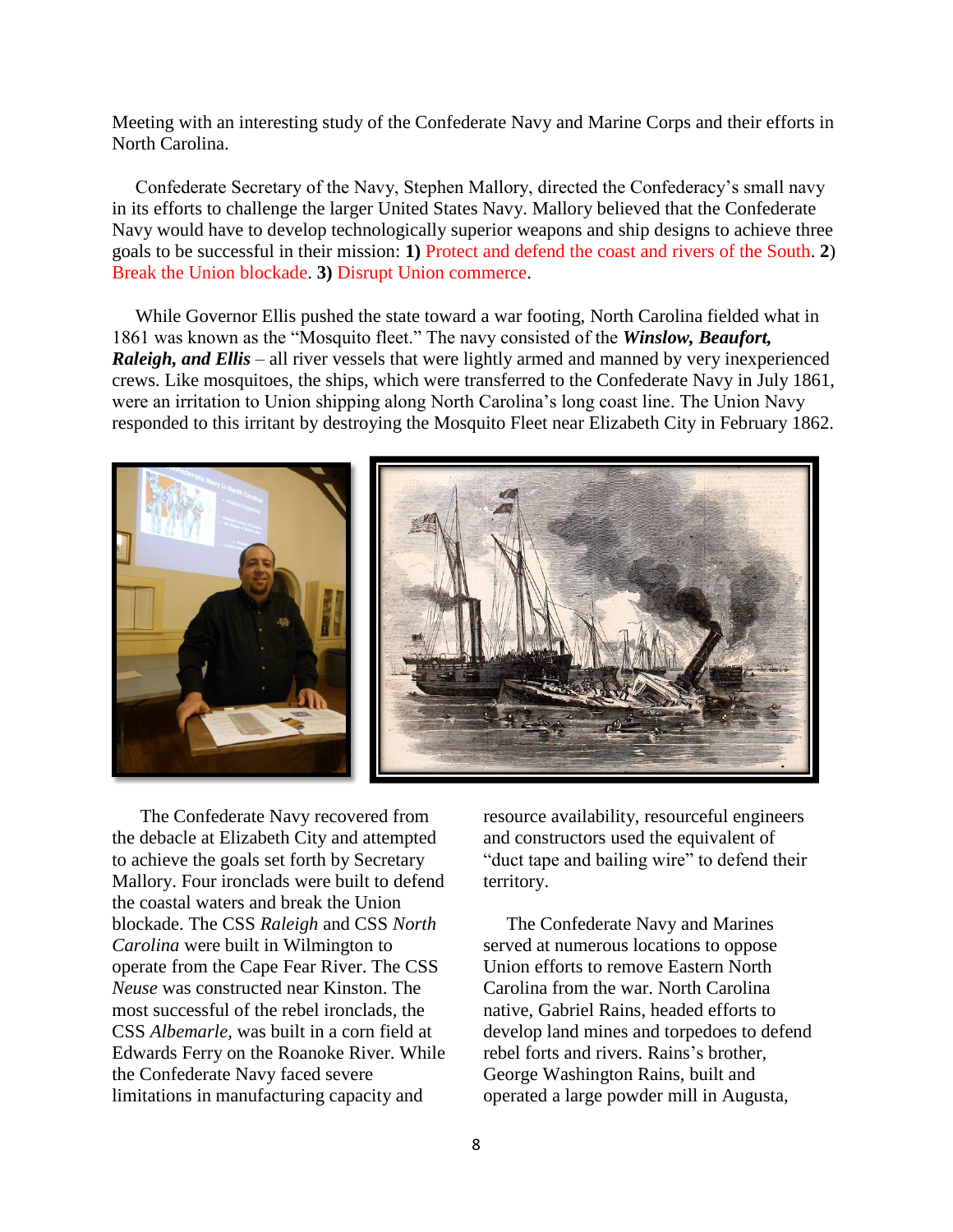Meeting with an interesting study of the Confederate Navy and Marine Corps and their efforts in North Carolina.

 Confederate Secretary of the Navy, Stephen Mallory, directed the Confederacy's small navy in its efforts to challenge the larger United States Navy. Mallory believed that the Confederate Navy would have to develop technologically superior weapons and ship designs to achieve three goals to be successful in their mission: **1)** Protect and defend the coast and rivers of the South. **2**) Break the Union blockade. **3)** Disrupt Union commerce.

 While Governor Ellis pushed the state toward a war footing, North Carolina fielded what in 1861 was known as the "Mosquito fleet." The navy consisted of the *Winslow, Beaufort,*  **Raleigh, and Ellis** – all river vessels that were lightly armed and manned by very inexperienced crews. Like mosquitoes, the ships, which were transferred to the Confederate Navy in July 1861, were an irritation to Union shipping along North Carolina's long coast line. The Union Navy responded to this irritant by destroying the Mosquito Fleet near Elizabeth City in February 1862.



 The Confederate Navy recovered from the debacle at Elizabeth City and attempted to achieve the goals set forth by Secretary Mallory. Four ironclads were built to defend the coastal waters and break the Union blockade. The CSS *Raleigh* and CSS *North Carolina* were built in Wilmington to operate from the Cape Fear River. The CSS *Neuse* was constructed near Kinston. The most successful of the rebel ironclads, the CSS *Albemarle,* was built in a corn field at Edwards Ferry on the Roanoke River. While the Confederate Navy faced severe limitations in manufacturing capacity and

resource availability, resourceful engineers and constructors used the equivalent of "duct tape and bailing wire" to defend their territory.

 The Confederate Navy and Marines served at numerous locations to oppose Union efforts to remove Eastern North Carolina from the war. North Carolina native, Gabriel Rains, headed efforts to develop land mines and torpedoes to defend rebel forts and rivers. Rains's brother, George Washington Rains, built and operated a large powder mill in Augusta,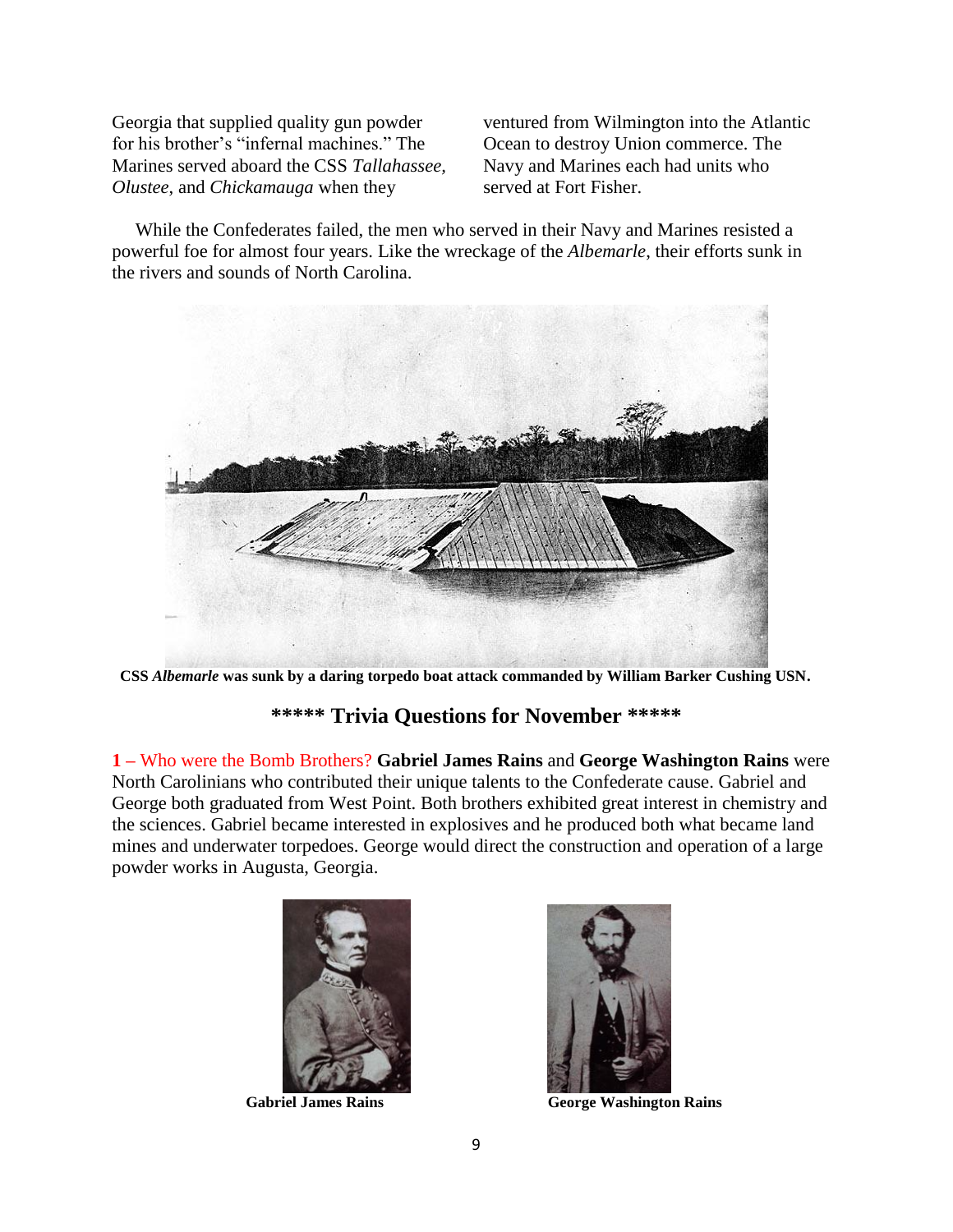Georgia that supplied quality gun powder for his brother's "infernal machines." The Marines served aboard the CSS *Tallahassee, Olustee*, and *Chickamauga* when they

ventured from Wilmington into the Atlantic Ocean to destroy Union commerce. The Navy and Marines each had units who served at Fort Fisher.

 While the Confederates failed, the men who served in their Navy and Marines resisted a powerful foe for almost four years. Like the wreckage of the *Albemarle*, their efforts sunk in the rivers and sounds of North Carolina.



**CSS** *Albemarle* **was sunk by a daring torpedo boat attack commanded by William Barker Cushing USN.**

## **\*\*\*\*\* Trivia Questions for November \*\*\*\*\***

**1 –** Who were the Bomb Brothers? **Gabriel James Rains** and **George Washington Rains** were North Carolinians who contributed their unique talents to the Confederate cause. Gabriel and George both graduated from West Point. Both brothers exhibited great interest in chemistry and the sciences. Gabriel became interested in explosives and he produced both what became land mines and underwater torpedoes. George would direct the construction and operation of a large powder works in Augusta, Georgia.





 **Gabriel James Rains George Washington Rains**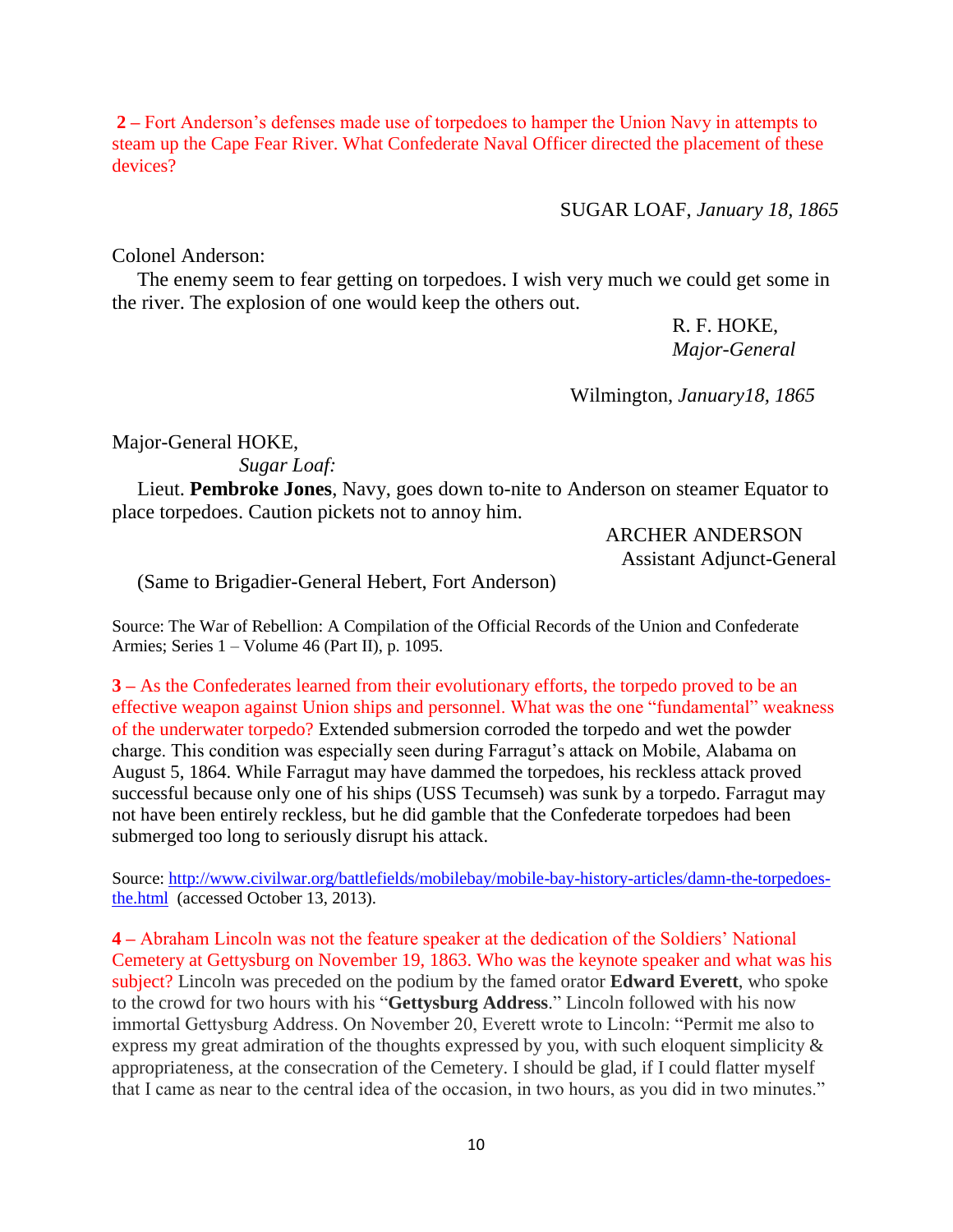**2 –** Fort Anderson's defenses made use of torpedoes to hamper the Union Navy in attempts to steam up the Cape Fear River. What Confederate Naval Officer directed the placement of these devices?

SUGAR LOAF, *January 18, 1865*

Colonel Anderson:

 The enemy seem to fear getting on torpedoes. I wish very much we could get some in the river. The explosion of one would keep the others out.

> R. F. HOKE, *Major-General*

Wilmington, *January18, 1865*

Major-General HOKE,

*Sugar Loaf:*

Lieut. **Pembroke Jones**, Navy, goes down to-nite to Anderson on steamer Equator to place torpedoes. Caution pickets not to annoy him.

> ARCHER ANDERSON Assistant Adjunct-General

(Same to Brigadier-General Hebert, Fort Anderson)

Source: The War of Rebellion: A Compilation of the Official Records of the Union and Confederate Armies; Series 1 – Volume 46 (Part II), p. 1095.

**3 –** As the Confederates learned from their evolutionary efforts, the torpedo proved to be an effective weapon against Union ships and personnel. What was the one "fundamental" weakness of the underwater torpedo? Extended submersion corroded the torpedo and wet the powder charge. This condition was especially seen during Farragut's attack on Mobile, Alabama on August 5, 1864. While Farragut may have dammed the torpedoes, his reckless attack proved successful because only one of his ships (USS Tecumseh) was sunk by a torpedo. Farragut may not have been entirely reckless, but he did gamble that the Confederate torpedoes had been submerged too long to seriously disrupt his attack.

Source: [http://www.civilwar.org/battlefields/mobilebay/mobile-bay-history-articles/damn-the-torpedoes](http://www.civilwar.org/battlefields/mobilebay/mobile-bay-history-articles/damn-the-torpedoes-the.html)[the.html](http://www.civilwar.org/battlefields/mobilebay/mobile-bay-history-articles/damn-the-torpedoes-the.html) (accessed October 13, 2013).

**4 –** Abraham Lincoln was not the feature speaker at the dedication of the Soldiers' National Cemetery at Gettysburg on November 19, 1863. Who was the keynote speaker and what was his subject? Lincoln was preceded on the podium by the famed orator **Edward Everett**, who spoke to the crowd for two hours with his "**Gettysburg Address**." Lincoln followed with his now immortal Gettysburg Address. On November 20, Everett wrote to Lincoln: "Permit me also to express my great admiration of the thoughts expressed by you, with such eloquent simplicity & appropriateness, at the consecration of the Cemetery. I should be glad, if I could flatter myself that I came as near to the central idea of the occasion, in two hours, as you did in two minutes."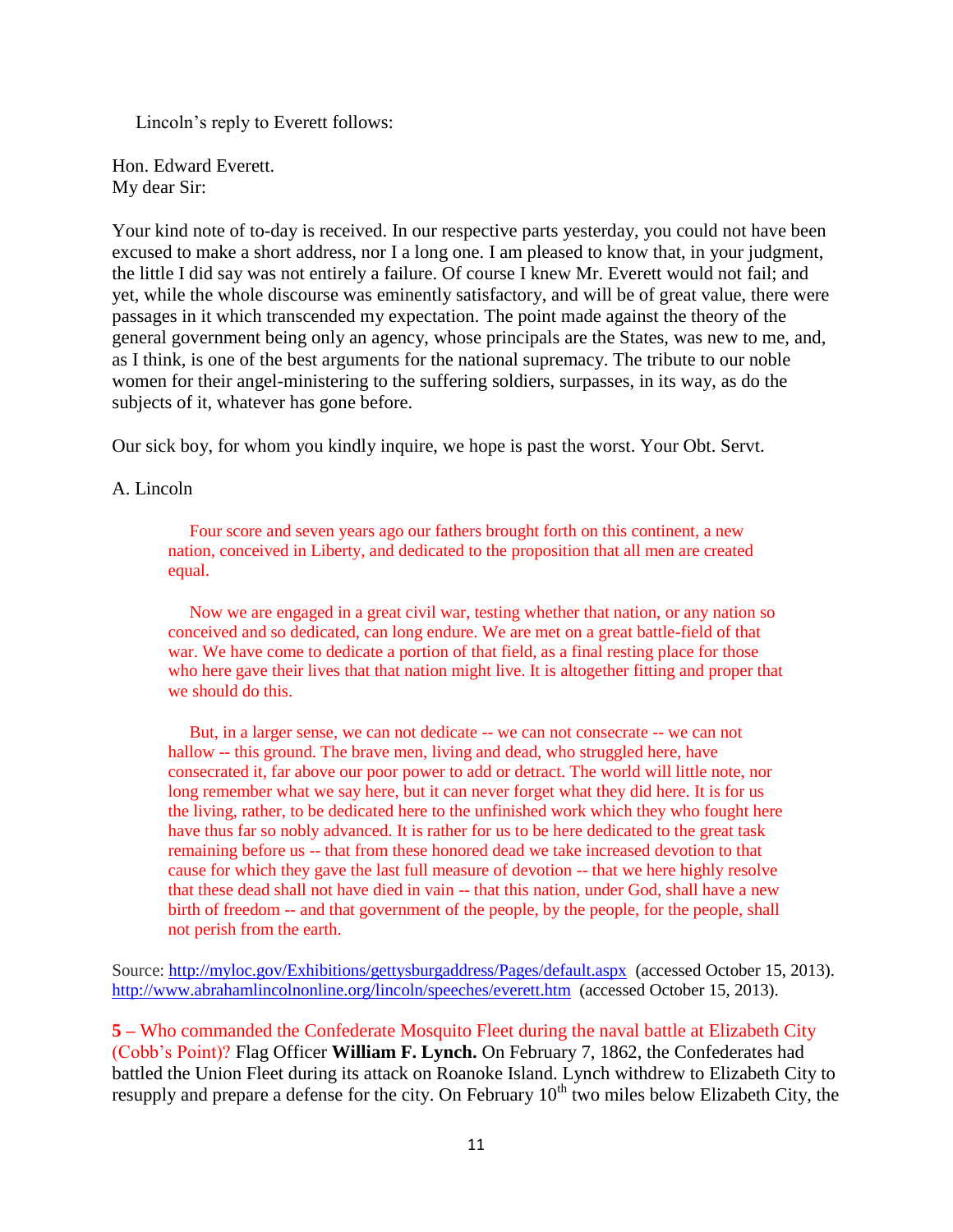Lincoln's reply to Everett follows:

Hon. Edward Everett. My dear Sir:

Your kind note of to-day is received. In our respective parts yesterday, you could not have been excused to make a short address, nor I a long one. I am pleased to know that, in your judgment, the little I did say was not entirely a failure. Of course I knew Mr. Everett would not fail; and yet, while the whole discourse was eminently satisfactory, and will be of great value, there were passages in it which transcended my expectation. The point made against the theory of the general government being only an agency, whose principals are the States, was new to me, and, as I think, is one of the best arguments for the national supremacy. The tribute to our noble women for their angel-ministering to the suffering soldiers, surpasses, in its way, as do the subjects of it, whatever has gone before.

Our sick boy, for whom you kindly inquire, we hope is past the worst. Your Obt. Servt.

### A. Lincoln

 Four score and seven years ago our fathers brought forth on this continent, a new nation, conceived in Liberty, and dedicated to the proposition that all men are created equal.

 Now we are engaged in a great civil war, testing whether that nation, or any nation so conceived and so dedicated, can long endure. We are met on a great battle-field of that war. We have come to dedicate a portion of that field, as a final resting place for those who here gave their lives that that nation might live. It is altogether fitting and proper that we should do this.

 But, in a larger sense, we can not dedicate -- we can not consecrate -- we can not hallow -- this ground. The brave men, living and dead, who struggled here, have consecrated it, far above our poor power to add or detract. The world will little note, nor long remember what we say here, but it can never forget what they did here. It is for us the living, rather, to be dedicated here to the unfinished work which they who fought here have thus far so nobly advanced. It is rather for us to be here dedicated to the great task remaining before us -- that from these honored dead we take increased devotion to that cause for which they gave the last full measure of devotion -- that we here highly resolve that these dead shall not have died in vain -- that this nation, under God, shall have a new birth of freedom -- and that government of the people, by the people, for the people, shall not perish from the earth.

Source:<http://myloc.gov/Exhibitions/gettysburgaddress/Pages/default.aspx>(accessed October 15, 2013). <http://www.abrahamlincolnonline.org/lincoln/speeches/everett.htm>(accessed October 15, 2013).

**5 –** Who commanded the Confederate Mosquito Fleet during the naval battle at Elizabeth City (Cobb's Point)? Flag Officer **William F. Lynch.** On February 7, 1862, the Confederates had battled the Union Fleet during its attack on Roanoke Island. Lynch withdrew to Elizabeth City to resupply and prepare a defense for the city. On February  $10^{th}$  two miles below Elizabeth City, the